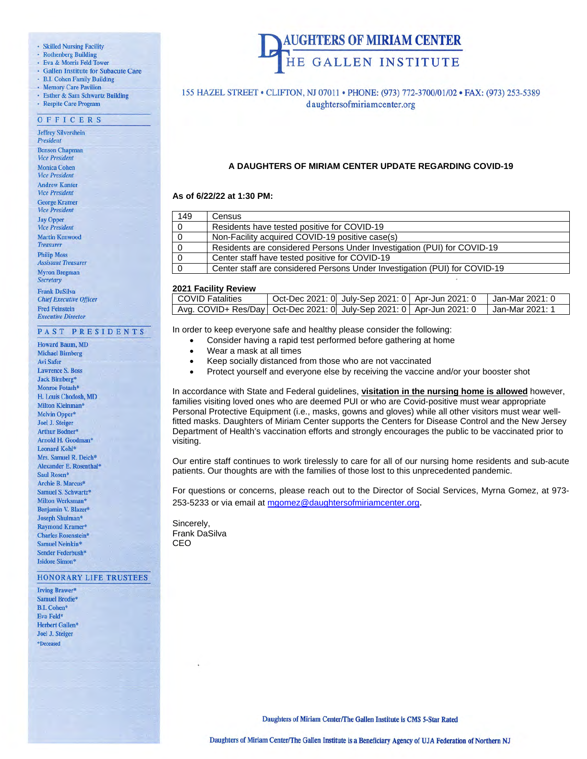### · Skilled Nursing Facility

- 
- · Rothenberg Building<br>· Eva & Morris Feld Tower
- · Gallen Institute for Subacute Care
- B.I. Cohen Family Building
- · Memory Care Pavilion
- · Esther & Sam Schwartz Building
- · Respite Care Program

### OFFICERS

**Jeffrey Silvershein** President **Benson Chapman Vice President Monica Cohen Vice President Andrew Kanter Vice President George Kramer Vice President Jay Opper** 

**Vice President Martin Kenwood Treasurer Philip Moss Assistant Treasurer Myron Bregman Secretary** 

**Frank DaSilva Chief Executive Officer Fred Feinstein Executive Director** 

### PAST PRESIDENTS

**Howard Baum, MD Michael Birnberg Avi Safer Lawrence S. Boss** Jack Birnberg\* Monroe Potash\* H. Louis Chodosh, MD Milton Kleinman\* Melvin Opper\* **Joel J. Steiger** Arthur Bodner\* Arnold H. Goodman\* Leonard Kohl\* Mrs. Samuel R. Deich\* Alexander E. Rosenthal\* Saul Rosen\* Archie B. Marcus\* Samuel S. Schwartz\* Milton Werksman\* Benjamin V. Blazer\* Joseph Shulman\* **Raymond Kramer\* Charles Rosenstein\*** Samuel Neinkin\* Sender Federbush\* **Isidore Simon\*** 

#### **HONORARY LIFE TRUSTEES**

**Irving Brawer\* Samuel Brodie\* B.I. Cohen\*** Eva Feld\* Herbert Gallen\* **Joel J. Steiger** \*Deceased



### 155 HAZEL STREET . CLIFTON, NJ 07011 . PHONE: (973) 772-3700/01/02 . FAX: (973) 253-5389 daughtersofmiriamcenter.org

### **A DAUGHTERS OF MIRIAM CENTER UPDATE REGARDING COVID-19**

### **As of 6/22/22 at 1:30 PM:**

| 149      | Census                                                                     |
|----------|----------------------------------------------------------------------------|
| 0        | Residents have tested positive for COVID-19                                |
| 0        | Non-Facility acquired COVID-19 positive case(s)                            |
| $\Omega$ | Residents are considered Persons Under Investigation (PUI) for COVID-19    |
| 0        | Center staff have tested positive for COVID-19                             |
|          | Center staff are considered Persons Under Investigation (PUI) for COVID-19 |

### **2021 Facility Review**

| <b>COVID Fatalities</b>                                                  | Oct-Dec 2021: 0 July-Sep 2021: 0 Apr-Jun 2021: 0 | l Jan-Mar 2021: 0 |
|--------------------------------------------------------------------------|--------------------------------------------------|-------------------|
| Avg. COVID+ Res/Day   Oct-Dec 2021: 0 July-Sep 2021: 0   Apr-Jun 2021: 0 |                                                  | ∣ Jan-Mar 2021: 1 |

In order to keep everyone safe and healthy please consider the following:

- Consider having a rapid test performed before gathering at home
- Wear a mask at all times
- Keep socially distanced from those who are not vaccinated
- Protect yourself and everyone else by receiving the vaccine and/or your booster shot

In accordance with State and Federal guidelines, **visitation in the nursing home is allowed** however, families visiting loved ones who are deemed PUI or who are Covid-positive must wear appropriate Personal Protective Equipment (i.e., masks, gowns and gloves) while all other visitors must wear wellfitted masks. Daughters of Miriam Center supports the Centers for Disease Control and the New Jersey Department of Health's vaccination efforts and strongly encourages the public to be vaccinated prior to visiting.

Our entire staff continues to work tirelessly to care for all of our nursing home residents and sub-acute patients. Our thoughts are with the families of those lost to this unprecedented pandemic.

For questions or concerns, please reach out to the Director of Social Services, Myrna Gomez, at 973- 253-5233 or via email at [mgomez@daughtersofmiriamcenter.org](mailto:mgomez@daughtersofmiriamcenter.org).

Sincerely, Frank DaSilva CEO

Daughters of Miriam Center/The Gallen Institute is CMS 5-Star Rated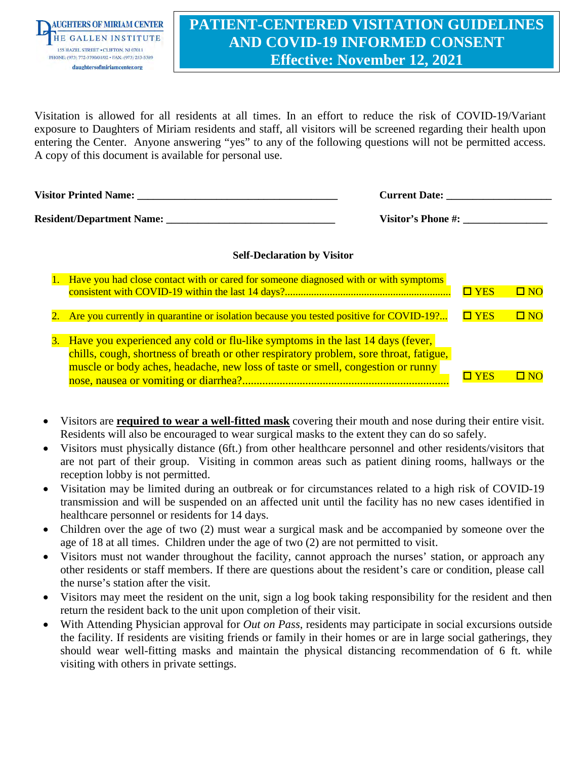

## **PATIENT-CENTERED VISITATION GUIDELINES AND COVID-19 INFORMED CONSENT Effective: November 12, 2021**

Visitation is allowed for all residents at all times. In an effort to reduce the risk of COVID-19/Variant exposure to Daughters of Miriam residents and staff, all visitors will be screened regarding their health upon entering the Center. Anyone answering "yes" to any of the following questions will not be permitted access. A copy of this document is available for personal use.

| <b>Visitor Printed Name:</b>     | <b>Current Date:</b> |
|----------------------------------|----------------------|
| <b>Resident/Department Name:</b> | Visitor's Phone #:   |

### **Self-Declaration by Visitor**

| Have you had close contact with or cared for someone diagnosed with or with symptoms                                                                                                                                                                           | $\square$ YES | $\Box$ NO |
|----------------------------------------------------------------------------------------------------------------------------------------------------------------------------------------------------------------------------------------------------------------|---------------|-----------|
| 2. Are you currently in quarantine or isolation because you tested positive for COVID-19?                                                                                                                                                                      | $\Box$ YES    | $\Box$ NO |
| 3. Have you experienced any cold or flu-like symptoms in the last 14 days (fever,<br>chills, cough, shortness of breath or other respiratory problem, sore throat, fatigue,<br>muscle or body aches, headache, new loss of taste or smell, congestion or runny | YES           |           |

- Visitors are **required to wear a well-fitted mask** covering their mouth and nose during their entire visit. Residents will also be encouraged to wear surgical masks to the extent they can do so safely.
- Visitors must physically distance (6ft.) from other healthcare personnel and other residents/visitors that are not part of their group. Visiting in common areas such as patient dining rooms, hallways or the reception lobby is not permitted.
- Visitation may be limited during an outbreak or for circumstances related to a high risk of COVID-19 transmission and will be suspended on an affected unit until the facility has no new cases identified in healthcare personnel or residents for 14 days.
- Children over the age of two (2) must wear a surgical mask and be accompanied by someone over the age of 18 at all times. Children under the age of two (2) are not permitted to visit.
- Visitors must not wander throughout the facility, cannot approach the nurses' station, or approach any other residents or staff members. If there are questions about the resident's care or condition, please call the nurse's station after the visit.
- Visitors may meet the resident on the unit, sign a log book taking responsibility for the resident and then return the resident back to the unit upon completion of their visit.
- With Attending Physician approval for *Out on Pass*, residents may participate in social excursions outside the facility. If residents are visiting friends or family in their homes or are in large social gatherings, they should wear well-fitting masks and maintain the physical distancing recommendation of 6 ft. while visiting with others in private settings.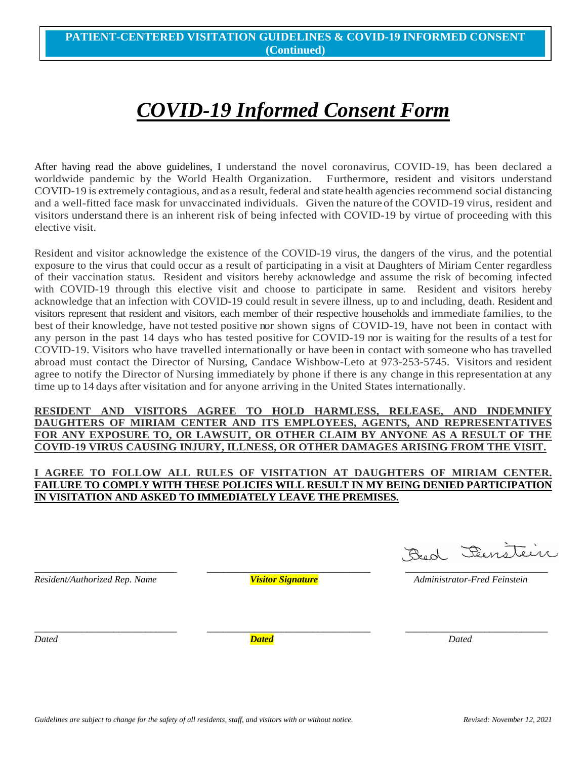# *COVID-19 Informed Consent Form*

After having read the above guidelines, I understand the novel coronavirus, COVID-19, has been declared a worldwide pandemic by the World Health Organization. Furthermore, resident and visitors understand COVID-19 is extremely contagious, and as a result, federal and state health agencies recommend social distancing and a well-fitted face mask for unvaccinated individuals. Given the nature of the COVID-19 virus, resident and visitors understand there is an inherent risk of being infected with COVID-19 by virtue of proceeding with this elective visit.

Resident and visitor acknowledge the existence of the COVID-19 virus, the dangers of the virus, and the potential exposure to the virus that could occur as a result of participating in a visit at Daughters of Miriam Center regardless of their vaccination status. Resident and visitors hereby acknowledge and assume the risk of becoming infected with COVID-19 through this elective visit and choose to participate in same. Resident and visitors hereby acknowledge that an infection with COVID-19 could result in severe illness, up to and including, death. Resident and visitors represent that resident and visitors, each member of their respective households and immediate families, to the best of their knowledge, have not tested positive nor shown signs of COVID-19, have not been in contact with any person in the past 14 days who has tested positive for COVID-19 nor is waiting for the results of a test for COVID-19. Visitors who have travelled internationally or have been in contact with someone who has travelled abroad must contact the Director of Nursing, Candace Wishbow-Leto at 973-253-5745. Visitors and resident agree to notify the Director of Nursing immediately by phone if there is any change in this representation at any time up to 14 days after visitation and for anyone arriving in the United States internationally.

### **RESIDENT AND VISITORS AGREE TO HOLD HARMLESS, RELEASE, AND INDEMNIFY DAUGHTERS OF MIRIAM CENTER AND ITS EMPLOYEES, AGENTS, AND REPRESENTATIVES FOR ANY EXPOSURE TO, OR LAWSUIT, OR OTHER CLAIM BY ANYONE AS A RESULT OF THE COVID-19 VIRUS CAUSING INJURY, ILLNESS, OR OTHER DAMAGES ARISING FROM THE VISIT.**

### **I AGREE TO FOLLOW ALL RULES OF VISITATION AT DAUGHTERS OF MIRIAM CENTER. FAILURE TO COMPLY WITH THESE POLICIES WILL RESULT IN MY BEING DENIED PARTICIPATION IN VISITATION AND ASKED TO IMMEDIATELY LEAVE THE PREMISES.**

*Resident/Authorized Rep. Name Visitor Signature Administrator-Fred Feinstein*

Bed Femitiin \_\_\_\_\_\_\_\_\_\_\_\_\_\_\_\_\_\_\_\_\_\_\_\_\_\_\_ \_\_\_\_\_\_\_\_\_\_\_\_\_\_\_\_\_\_\_\_\_\_\_\_\_\_\_\_\_\_\_ \_\_\_\_\_\_\_\_\_\_\_\_\_\_\_\_\_\_\_\_\_\_\_\_\_\_\_

*Dated Dated Dated*

\_\_\_\_\_\_\_\_\_\_\_\_\_\_\_\_\_\_\_\_\_\_\_\_\_\_\_ \_\_\_\_\_\_\_\_\_\_\_\_\_\_\_\_\_\_\_\_\_\_\_\_\_\_\_\_\_\_\_ \_\_\_\_\_\_\_\_\_\_\_\_\_\_\_\_\_\_\_\_\_\_\_\_\_\_\_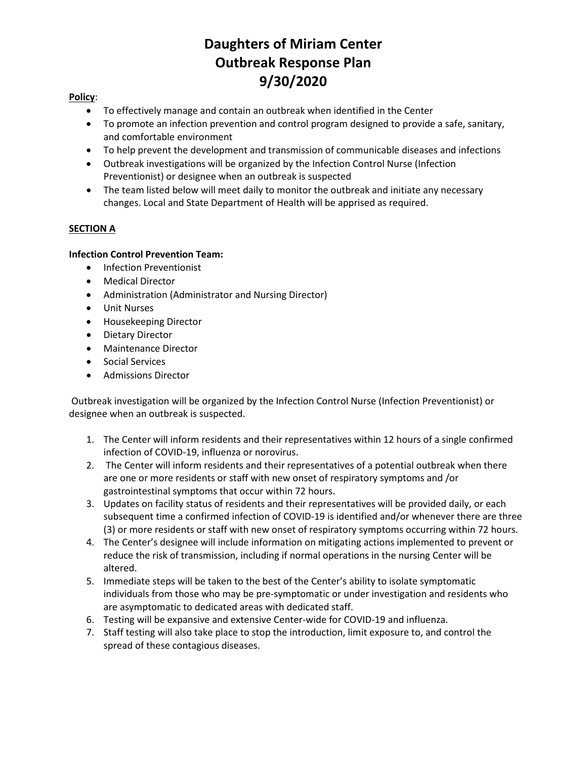## **Daughters of Miriam Center Outbreak Response Plan 9/30/2020**

## **Policy**:

- To effectively manage and contain an outbreak when identified in the Center
- To promote an infection prevention and control program designed to provide a safe, sanitary, and comfortable environment
- To help prevent the development and transmission of communicable diseases and infections
- Outbreak investigations will be organized by the Infection Control Nurse (Infection Preventionist) or designee when an outbreak is suspected
- The team listed below will meet daily to monitor the outbreak and initiate any necessary changes. Local and State Department of Health will be apprised as required.

## **SECTION A**

## **Infection Control Prevention Team:**

- Infection Preventionist
- Medical Director
- Administration (Administrator and Nursing Director)
- Unit Nurses
- Housekeeping Director
- Dietary Director
- Maintenance Director
- Social Services
- Admissions Director

Outbreak investigation will be organized by the Infection Control Nurse (Infection Preventionist) or designee when an outbreak is suspected.

- 1. The Center will inform residents and their representatives within 12 hours of a single confirmed infection of COVID-19, influenza or norovirus.
- 2. The Center will inform residents and their representatives of a potential outbreak when there are one or more residents or staff with new onset of respiratory symptoms and /or gastrointestinal symptoms that occur within 72 hours.
- 3. Updates on facility status of residents and their representatives will be provided daily, or each subsequent time a confirmed infection of COVID-19 is identified and/or whenever there are three (3) or more residents or staff with new onset of respiratory symptoms occurring within 72 hours.
- 4. The Center's designee will include information on mitigating actions implemented to prevent or reduce the risk of transmission, including if normal operations in the nursing Center will be altered.
- 5. Immediate steps will be taken to the best of the Center's ability to isolate symptomatic individuals from those who may be pre-symptomatic or under investigation and residents who are asymptomatic to dedicated areas with dedicated staff.
- 6. Testing will be expansive and extensive Center-wide for COVID-19 and influenza.
- 7. Staff testing will also take place to stop the introduction, limit exposure to, and control the spread of these contagious diseases.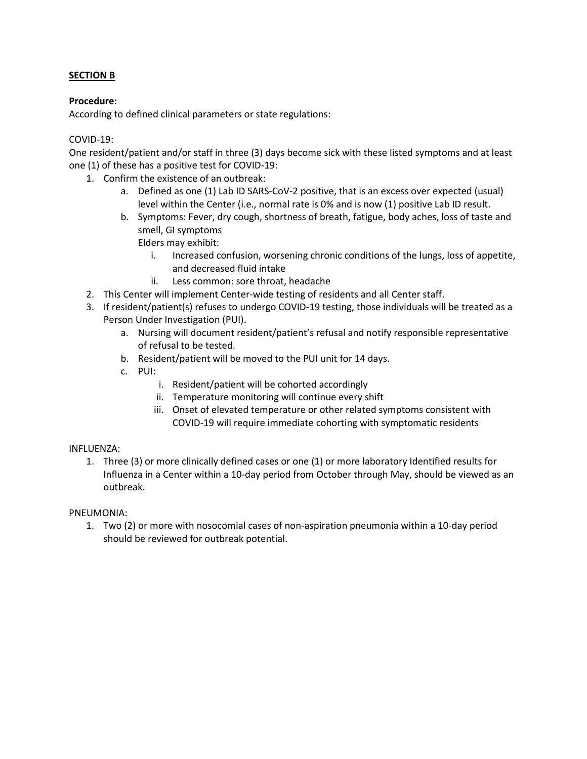## **SECTION B**

### **Procedure:**

According to defined clinical parameters or state regulations:

## COVID-19:

One resident/patient and/or staff in three (3) days become sick with these listed symptoms and at least one (1) of these has a positive test for COVID-19:

- 1. Confirm the existence of an outbreak:
	- a. Defined as one (1) Lab ID SARS-CoV-2 positive, that is an excess over expected (usual) level within the Center (i.e., normal rate is 0% and is now (1) positive Lab ID result.
	- b. Symptoms: Fever, dry cough, shortness of breath, fatigue, body aches, loss of taste and smell, GI symptoms Elders may exhibit:
		- i. Increased confusion, worsening chronic conditions of the lungs, loss of appetite, and decreased fluid intake
		- ii. Less common: sore throat, headache
- 2. This Center will implement Center-wide testing of residents and all Center staff.
- 3. If resident/patient(s) refuses to undergo COVID-19 testing, those individuals will be treated as a Person Under Investigation (PUI).
	- a. Nursing will document resident/patient's refusal and notify responsible representative of refusal to be tested.
	- b. Resident/patient will be moved to the PUI unit for 14 days.
	- c. PUI:
		- i. Resident/patient will be cohorted accordingly
		- ii. Temperature monitoring will continue every shift
		- iii. Onset of elevated temperature or other related symptoms consistent with COVID-19 will require immediate cohorting with symptomatic residents

### INFLUENZA:

1. Three (3) or more clinically defined cases or one (1) or more laboratory Identified results for Influenza in a Center within a 10-day period from October through May, should be viewed as an outbreak.

### PNEUMONIA:

1. Two (2) or more with nosocomial cases of non-aspiration pneumonia within a 10-day period should be reviewed for outbreak potential.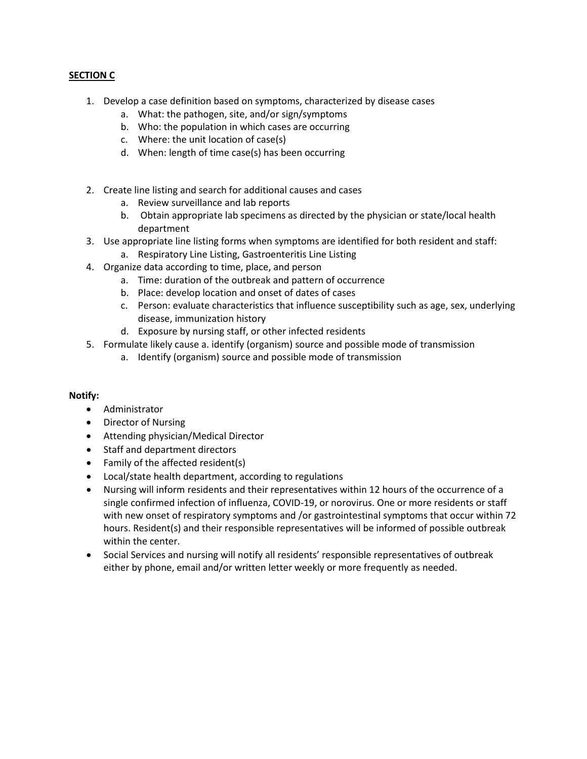## **SECTION C**

- 1. Develop a case definition based on symptoms, characterized by disease cases
	- a. What: the pathogen, site, and/or sign/symptoms
	- b. Who: the population in which cases are occurring
	- c. Where: the unit location of case(s)
	- d. When: length of time case(s) has been occurring
- 2. Create line listing and search for additional causes and cases
	- a. Review surveillance and lab reports
	- b. Obtain appropriate lab specimens as directed by the physician or state/local health department
- 3. Use appropriate line listing forms when symptoms are identified for both resident and staff:
	- a. Respiratory Line Listing, Gastroenteritis Line Listing
- 4. Organize data according to time, place, and person
	- a. Time: duration of the outbreak and pattern of occurrence
	- b. Place: develop location and onset of dates of cases
	- c. Person: evaluate characteristics that influence susceptibility such as age, sex, underlying disease, immunization history
	- d. Exposure by nursing staff, or other infected residents
- 5. Formulate likely cause a. identify (organism) source and possible mode of transmission
	- a. Identify (organism) source and possible mode of transmission

### **Notify:**

- Administrator
- Director of Nursing
- Attending physician/Medical Director
- Staff and department directors
- Family of the affected resident(s)
- Local/state health department, according to regulations
- Nursing will inform residents and their representatives within 12 hours of the occurrence of a single confirmed infection of influenza, COVID-19, or norovirus. One or more residents or staff with new onset of respiratory symptoms and /or gastrointestinal symptoms that occur within 72 hours. Resident(s) and their responsible representatives will be informed of possible outbreak within the center.
- Social Services and nursing will notify all residents' responsible representatives of outbreak either by phone, email and/or written letter weekly or more frequently as needed.